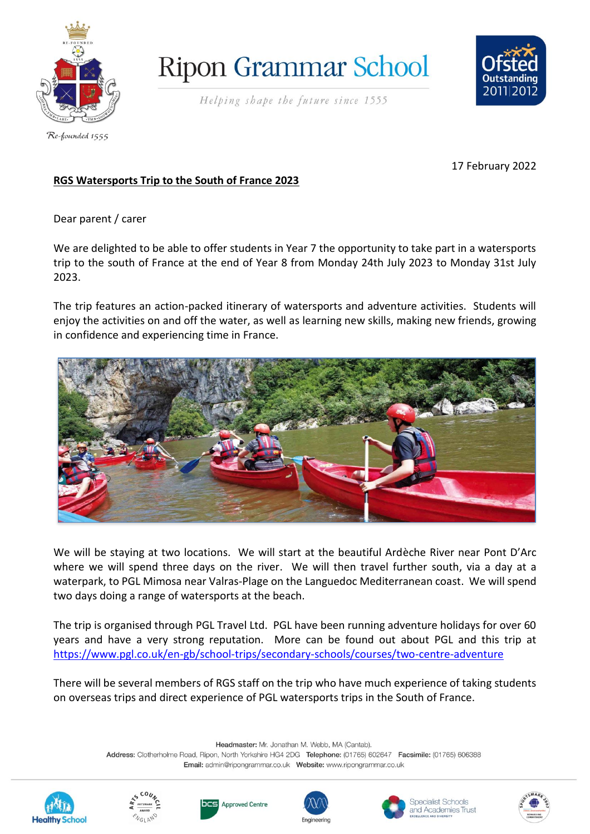

**Ripon Grammar School** 



Helping shape the future since 1555

Re-founded 1555

17 February 2022

# **RGS Watersports Trip to the South of France 2023**

Dear parent / carer

We are delighted to be able to offer students in Year 7 the opportunity to take part in a watersports trip to the south of France at the end of Year 8 from Monday 24th July 2023 to Monday 31st July 2023.

The trip features an action-packed itinerary of watersports and adventure activities. Students will enjoy the activities on and off the water, as well as learning new skills, making new friends, growing in confidence and experiencing time in France.



We will be staying at two locations. We will start at the beautiful Ardèche River near Pont D'Arc where we will spend three days on the river. We will then travel further south, via a day at a waterpark, to PGL Mimosa near Valras-Plage on the Languedoc Mediterranean coast. We will spend two days doing a range of watersports at the beach.

The trip is organised through PGL Travel Ltd. PGL have been running adventure holidays for over 60 years and have a very strong reputation. More can be found out about PGL and this trip at <https://www.pgl.co.uk/en-gb/school-trips/secondary-schools/courses/two-centre-adventure>

There will be several members of RGS staff on the trip who have much experience of taking students on overseas trips and direct experience of PGL watersports trips in the South of France.

Headmaster: Mr. Jonathan M. Webb, MA (Cantab).

Address: Clotherholme Road, Ripon, North Yorkshire HG4 2DG Telephone: (01765) 602647 Facsimile: (01765) 606388 













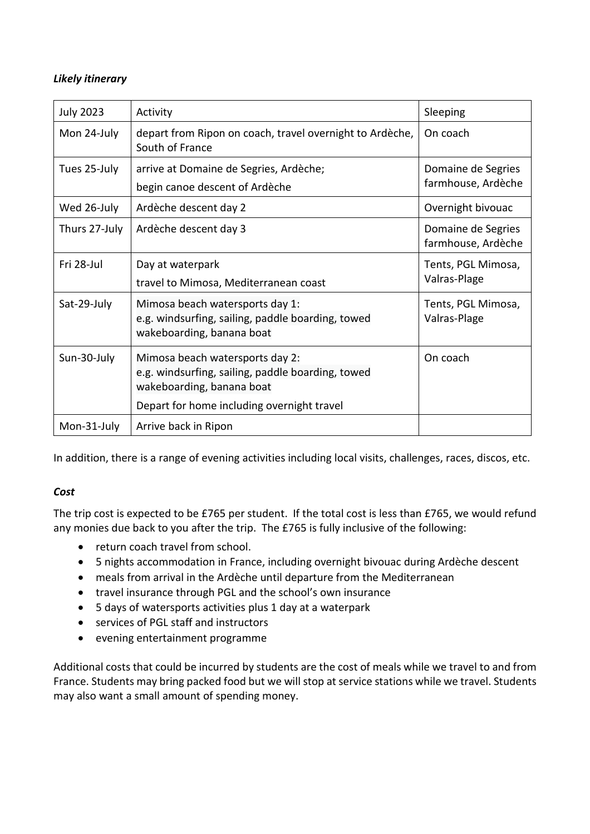## *Likely itinerary*

| <b>July 2023</b> | Activity                                                                                                          | Sleeping                                 |
|------------------|-------------------------------------------------------------------------------------------------------------------|------------------------------------------|
| Mon 24-July      | depart from Ripon on coach, travel overnight to Ardèche,<br>South of France                                       | On coach                                 |
| Tues 25-July     | arrive at Domaine de Segries, Ardèche;<br>begin canoe descent of Ardèche                                          | Domaine de Segries<br>farmhouse, Ardèche |
| Wed 26-July      | Ardèche descent day 2                                                                                             | Overnight bivouac                        |
| Thurs 27-July    | Ardèche descent day 3                                                                                             | Domaine de Segries<br>farmhouse, Ardèche |
| Fri 28-Jul       | Day at waterpark<br>travel to Mimosa, Mediterranean coast                                                         | Tents, PGL Mimosa,<br>Valras-Plage       |
| Sat-29-July      | Mimosa beach watersports day 1:<br>e.g. windsurfing, sailing, paddle boarding, towed<br>wakeboarding, banana boat | Tents, PGL Mimosa,<br>Valras-Plage       |
| Sun-30-July      | Mimosa beach watersports day 2:<br>e.g. windsurfing, sailing, paddle boarding, towed<br>wakeboarding, banana boat | On coach                                 |
|                  | Depart for home including overnight travel                                                                        |                                          |
| Mon-31-July      | Arrive back in Ripon                                                                                              |                                          |

In addition, there is a range of evening activities including local visits, challenges, races, discos, etc.

## *Cost*

The trip cost is expected to be £765 per student. If the total cost is less than £765, we would refund any monies due back to you after the trip. The £765 is fully inclusive of the following:

- return coach travel from school.
- 5 nights accommodation in France, including overnight bivouac during Ardèche descent
- meals from arrival in the Ardèche until departure from the Mediterranean
- travel insurance through PGL and the school's own insurance
- 5 days of watersports activities plus 1 day at a waterpark
- services of PGL staff and instructors
- evening entertainment programme

Additional costs that could be incurred by students are the cost of meals while we travel to and from France. Students may bring packed food but we will stop at service stations while we travel. Students may also want a small amount of spending money.